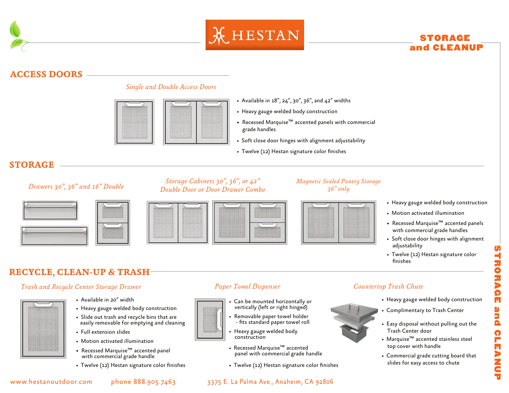



# STORAGE and CLEANUP

# **ACCESS DOORS**



- *Single and Double Access Doors*
- Available in 18", 24", 30", 36", and 42" widths
- Heavy gauge welded body construction
- Recessed Marquise™ accented panels with commercial grade handles
- Soft close door hinges with alignment adjustability
- Twelve (12) Hestan signature color finishes

# **STORAGE**



## *Storage Cabinets 30", 36", or 42" Double Door or Door Drawer Combo Drawers 30", 36" and 16" Double*



## *Magnetic Sealed Pantry Storage 36" only*



## • Heavy gauge welded body construction

- Motion activated illumination
- Recessed Marquise™ accented panels with commercial grade handles
- Soft close door hinges with alignment adjustability
- Twelve (12) Hestan signature color finishes

# **RECYCLE, CLEAN-UP & TRASH**

## *Trash and Recycle Center Storage Drawer Paper Towel Dispenser Countertop Trash Chute*

- 
- Available in 20" width
- Heavy gauge welded body construction
- Slide out trash and recycle bins that are easily removable for emptying and cleaning
- Full extension slides
- Motion activated illumination
- Recessed Marquise™ accented panel with commercial grade handle
- 

- Can be mounted horizontally or vertically (left or right hinged)
- Removable paper towel holder - ts standard paper towel roll
- Heavy gauge welded body construction
- Recessed Marquise™ accented panel with commercial grade handle
- Twelve (12) Hestan signature color finishes Twelve (12) Hestan signature color finishes



- Heavy gauge welded body construction
- Complimentary to Trash Center
- Easy disposal without pulling out the Trash Center door
- Marquise™ accented stainless steel top cover with handle
- Commercial grade cutting board that slides for easy access to chute

- www.hestanoutdoor.com phone 888.905.7463 3375 E. La Palma Ave., Anaheim, CA 92806
-